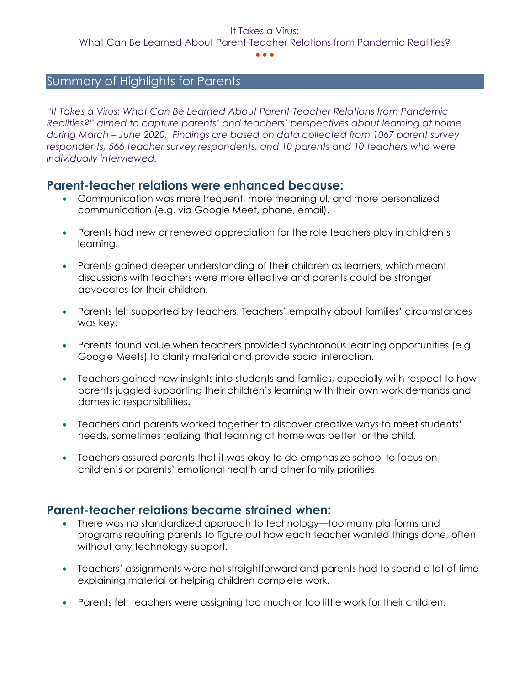#### • • •

# Summary of Highlights for Parents

*"It Takes a Virus: What Can Be Learned About Parent-Teacher Relations from Pandemic Realities?" aimed to capture parents' and teachers' perspectives about learning at home during March – June 2020. Findings are based on data collected from 1067 parent survey respondents, 566 teacher survey respondents, and 10 parents and 10 teachers who were individually interviewed.*

## **Parent-teacher relations were enhanced because:**

- Communication was more frequent, more meaningful, and more personalized communication (e.g. via Google Meet, phone, email).
- Parents had new or renewed appreciation for the role teachers play in children's learning.
- Parents gained deeper understanding of their children as learners, which meant discussions with teachers were more effective and parents could be stronger advocates for their children.
- Parents felt supported by teachers. Teachers' empathy about families' circumstances was key.
- Parents found value when teachers provided synchronous learning opportunities (e.g. Google Meets) to clarify material and provide social interaction.
- Teachers gained new insights into students and families, especially with respect to how parents juggled supporting their children's learning with their own work demands and domestic responsibilities.
- Teachers and parents worked together to discover creative ways to meet students' needs, sometimes realizing that learning at home was better for the child.
- Teachers assured parents that it was okay to de-emphasize school to focus on children's or parents' emotional health and other family priorities.

## **Parent-teacher relations became strained when:**

- There was no standardized approach to technology—too many platforms and programs requiring parents to figure out how each teacher wanted things done, often without any technology support.
- Teachers' assignments were not straightforward and parents had to spend a lot of time explaining material or helping children complete work.
- Parents felt teachers were assigning too much or too little work for their children.